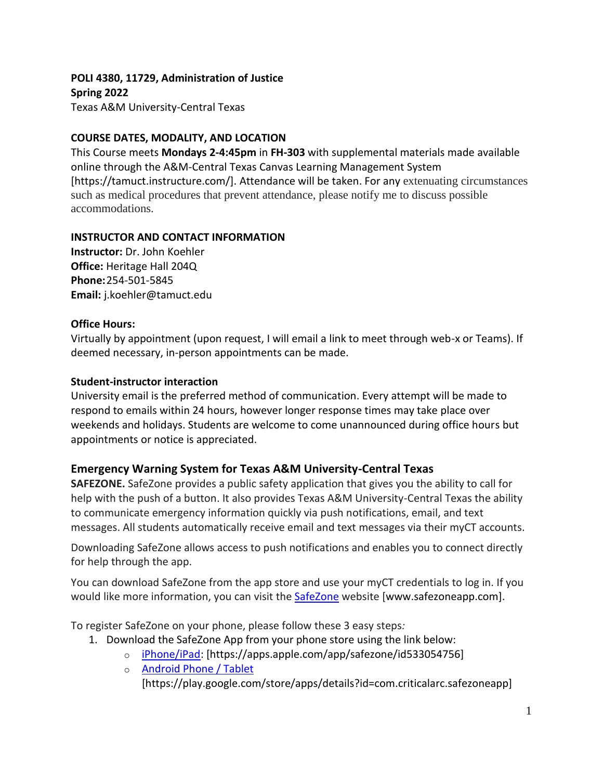**POLI 4380, 11729, Administration of Justice Spring 2022** Texas A&M University-Central Texas

## **COURSE DATES, MODALITY, AND LOCATION**

This Course meets **Mondays 2-4:45pm** in **FH-303** with supplemental materials made available online through the A&M-Central Texas Canvas Learning Management System [https://tamuct.instructure.com/]. Attendance will be taken. For any extenuating circumstances such as medical procedures that prevent attendance, please notify me to discuss possible accommodations.

## **INSTRUCTOR AND CONTACT INFORMATION**

**Instructor:** Dr. John Koehler **Office:** Heritage Hall 204Q **Phone:**254-501-5845 **Email:** j.koehler@tamuct.edu

## **Office Hours:**

Virtually by appointment (upon request, I will email a link to meet through web-x or Teams). If deemed necessary, in-person appointments can be made.

## **Student-instructor interaction**

University email is the preferred method of communication. Every attempt will be made to respond to emails within 24 hours, however longer response times may take place over weekends and holidays. Students are welcome to come unannounced during office hours but appointments or notice is appreciated.

# **Emergency Warning System for Texas A&M University-Central Texas**

**SAFEZONE.** SafeZone provides a public safety application that gives you the ability to call for help with the push of a button. It also provides Texas A&M University-Central Texas the ability to communicate emergency information quickly via push notifications, email, and text messages. All students automatically receive email and text messages via their myCT accounts.

Downloading SafeZone allows access to push notifications and enables you to connect directly for help through the app.

You can download SafeZone from the app store and use your myCT credentials to log in. If you would like more information, you can visit the [SafeZone](http://www.safezoneapp.com/) website [www.safezoneapp.com].

To register SafeZone on your phone, please follow these 3 easy steps*:*

- 1. Download the SafeZone App from your phone store using the link below:
	- o [iPhone/iPad:](https://apps.apple.com/app/safezone/id533054756) [https://apps.apple.com/app/safezone/id533054756]
	- o [Android Phone / Tablet](https://play.google.com/store/apps/details?id=com.criticalarc.safezoneapp) [https://play.google.com/store/apps/details?id=com.criticalarc.safezoneapp]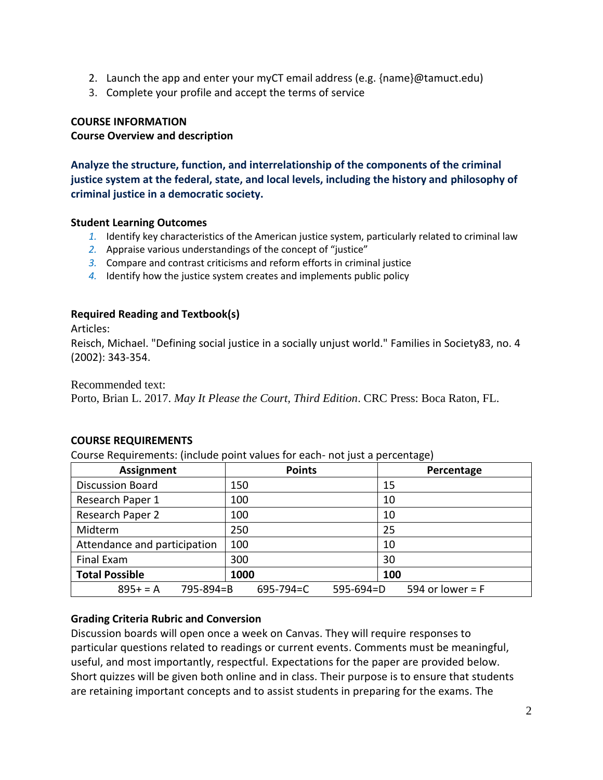- 2. Launch the app and enter your myCT email address (e.g. {name}@tamuct.edu)
- 3. Complete your profile and accept the terms of service

### **COURSE INFORMATION**

#### **Course Overview and description**

**Analyze the structure, function, and interrelationship of the components of the criminal justice system at the federal, state, and local levels, including the history and philosophy of criminal justice in a democratic society.**

#### **Student Learning Outcomes**

- *1.* Identify key characteristics of the American justice system, particularly related to criminal law
- *2.* Appraise various understandings of the concept of "justice"
- *3.* Compare and contrast criticisms and reform efforts in criminal justice
- *4.* Identify how the justice system creates and implements public policy

#### **Required Reading and Textbook(s)**

Articles:

Reisch, Michael. "Defining social justice in a socially unjust world." Families in Society83, no. 4 (2002): 343-354.

Recommended text:

Porto, Brian L. 2017. *May It Please the Court, Third Edition*. CRC Press: Boca Raton, FL.

#### **COURSE REQUIREMENTS**

Course Requirements: (include point values for each- not just a percentage)

| Assignment                   | <b>Points</b>            | Percentage         |
|------------------------------|--------------------------|--------------------|
| <b>Discussion Board</b>      | 150                      | 15                 |
| Research Paper 1             | 100                      | 10                 |
| Research Paper 2             | 100                      | 10                 |
| Midterm                      | 250                      | 25                 |
| Attendance and participation | 100                      | 10                 |
| Final Exam                   | 300                      | 30                 |
| <b>Total Possible</b>        | 1000                     | 100                |
| $895+ = A$<br>795-894=B      | $595-694=D$<br>695-794=C | 594 or lower = $F$ |

#### **Grading Criteria Rubric and Conversion**

Discussion boards will open once a week on Canvas. They will require responses to particular questions related to readings or current events. Comments must be meaningful, useful, and most importantly, respectful. Expectations for the paper are provided below. Short quizzes will be given both online and in class. Their purpose is to ensure that students are retaining important concepts and to assist students in preparing for the exams. The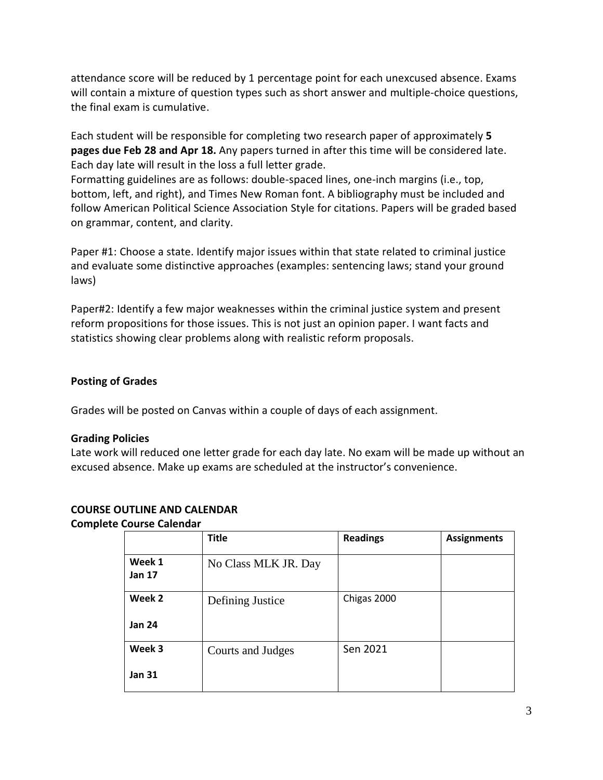attendance score will be reduced by 1 percentage point for each unexcused absence. Exams will contain a mixture of question types such as short answer and multiple-choice questions, the final exam is cumulative.

Each student will be responsible for completing two research paper of approximately **5 pages due Feb 28 and Apr 18.** Any papers turned in after this time will be considered late. Each day late will result in the loss a full letter grade.

Formatting guidelines are as follows: double-spaced lines, one-inch margins (i.e., top, bottom, left, and right), and Times New Roman font. A bibliography must be included and follow American Political Science Association Style for citations. Papers will be graded based on grammar, content, and clarity.

Paper #1: Choose a state. Identify major issues within that state related to criminal justice and evaluate some distinctive approaches (examples: sentencing laws; stand your ground laws)

Paper#2: Identify a few major weaknesses within the criminal justice system and present reform propositions for those issues. This is not just an opinion paper. I want facts and statistics showing clear problems along with realistic reform proposals.

## **Posting of Grades**

Grades will be posted on Canvas within a couple of days of each assignment.

#### **Grading Policies**

Late work will reduced one letter grade for each day late. No exam will be made up without an excused absence. Make up exams are scheduled at the instructor's convenience.

|                         | <b>Title</b>         | <b>Readings</b> | <b>Assignments</b> |
|-------------------------|----------------------|-----------------|--------------------|
| Week 1<br><b>Jan 17</b> | No Class MLK JR. Day |                 |                    |
| Week 2                  | Defining Justice     | Chigas 2000     |                    |
| <b>Jan 24</b>           |                      |                 |                    |
| Week 3                  | Courts and Judges    | Sen 2021        |                    |
| <b>Jan 31</b>           |                      |                 |                    |

# **COURSE OUTLINE AND CALENDAR**

**Complete Course Calendar**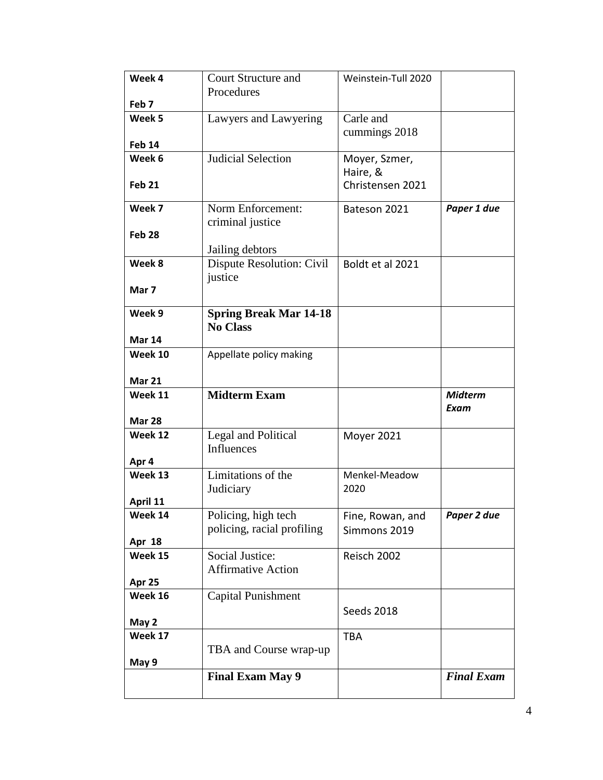| Week 4              | <b>Court Structure and</b>    | Weinstein-Tull 2020   |                   |
|---------------------|-------------------------------|-----------------------|-------------------|
|                     | Procedures                    |                       |                   |
| Feb <sub>7</sub>    |                               |                       |                   |
| Week 5              | Lawyers and Lawyering         | Carle and             |                   |
|                     |                               | cummings 2018         |                   |
| <b>Feb 14</b>       |                               |                       |                   |
| Week 6              | <b>Judicial Selection</b>     | Moyer, Szmer,         |                   |
|                     |                               | Haire, &              |                   |
| <b>Feb 21</b>       |                               | Christensen 2021      |                   |
| Week 7              | Norm Enforcement:             | Bateson 2021          | Paper 1 due       |
|                     | criminal justice              |                       |                   |
| Feb <sub>28</sub>   |                               |                       |                   |
|                     | Jailing debtors               |                       |                   |
| Week 8              | Dispute Resolution: Civil     | Boldt et al 2021      |                   |
|                     | justice                       |                       |                   |
| Mar 7               |                               |                       |                   |
|                     |                               |                       |                   |
| Week 9              | <b>Spring Break Mar 14-18</b> |                       |                   |
|                     | <b>No Class</b>               |                       |                   |
| <b>Mar 14</b>       |                               |                       |                   |
| Week 10             | Appellate policy making       |                       |                   |
|                     |                               |                       |                   |
| <b>Mar 21</b>       |                               |                       |                   |
|                     |                               |                       |                   |
| Week 11             | <b>Midterm Exam</b>           |                       | <b>Midterm</b>    |
|                     |                               |                       | Exam              |
| <b>Mar 28</b>       |                               |                       |                   |
| Week 12             | Legal and Political           | <b>Moyer 2021</b>     |                   |
|                     | Influences                    |                       |                   |
| Apr 4               |                               |                       |                   |
| Week 13             | Limitations of the            | Menkel-Meadow<br>2020 |                   |
|                     | Judiciary                     |                       |                   |
| April 11<br>Week 14 | Policing, high tech           |                       | Paper 2 due       |
|                     | policing, racial profiling    | Fine, Rowan, and      |                   |
| Apr 18              |                               | Simmons 2019          |                   |
| Week 15             | Social Justice:               | Reisch 2002           |                   |
|                     | <b>Affirmative Action</b>     |                       |                   |
| Apr 25              |                               |                       |                   |
| Week 16             | <b>Capital Punishment</b>     |                       |                   |
|                     |                               | Seeds 2018            |                   |
| May 2               |                               |                       |                   |
| Week 17             |                               | <b>TBA</b>            |                   |
|                     | TBA and Course wrap-up        |                       |                   |
| May 9               |                               |                       |                   |
|                     | <b>Final Exam May 9</b>       |                       | <b>Final Exam</b> |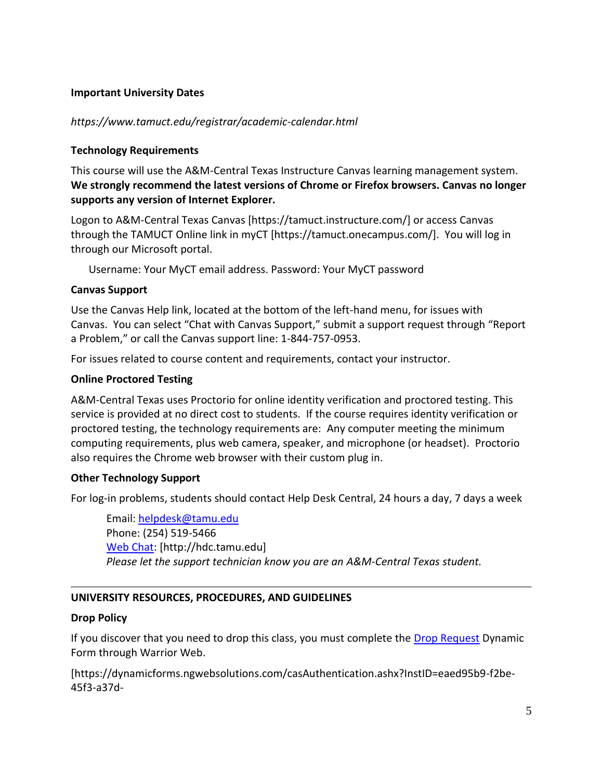## **Important University Dates**

## *https://www.tamuct.edu/registrar/academic-calendar.html*

#### **Technology Requirements**

This course will use the A&M-Central Texas Instructure Canvas learning management system. **We strongly recommend the latest versions of Chrome or Firefox browsers. Canvas no longer supports any version of Internet Explorer.**

Logon to A&M-Central Texas Canvas [https://tamuct.instructure.com/] or access Canvas through the TAMUCT Online link in myCT [https://tamuct.onecampus.com/]. You will log in through our Microsoft portal.

Username: Your MyCT email address. Password: Your MyCT password

#### **Canvas Support**

Use the Canvas Help link, located at the bottom of the left-hand menu, for issues with Canvas. You can select "Chat with Canvas Support," submit a support request through "Report a Problem," or call the Canvas support line: 1-844-757-0953.

For issues related to course content and requirements, contact your instructor.

## **Online Proctored Testing**

A&M-Central Texas uses Proctorio for online identity verification and proctored testing. This service is provided at no direct cost to students. If the course requires identity verification or proctored testing, the technology requirements are: Any computer meeting the minimum computing requirements, plus web camera, speaker, and microphone (or headset). Proctorio also requires the Chrome web browser with their custom plug in.

#### **Other Technology Support**

For log-in problems, students should contact Help Desk Central, 24 hours a day, 7 days a week

Email: [helpdesk@tamu.edu](mailto:helpdesk@tamu.edu) Phone: (254) 519-5466 [Web Chat:](http://hdc.tamu.edu/) [http://hdc.tamu.edu] *Please let the support technician know you are an A&M-Central Texas student.*

# **UNIVERSITY RESOURCES, PROCEDURES, AND GUIDELINES**

#### **Drop Policy**

If you discover that you need to drop this class, you must complete the [Drop Request](https://dynamicforms.ngwebsolutions.com/casAuthentication.ashx?InstID=eaed95b9-f2be-45f3-a37d-46928168bc10&targetUrl=https%3A%2F%2Fdynamicforms.ngwebsolutions.com%2FSubmit%2FForm%2FStart%2F53b8369e-0502-4f36-be43-f02a4202f612) Dynamic Form through Warrior Web.

[https://dynamicforms.ngwebsolutions.com/casAuthentication.ashx?InstID=eaed95b9-f2be-45f3-a37d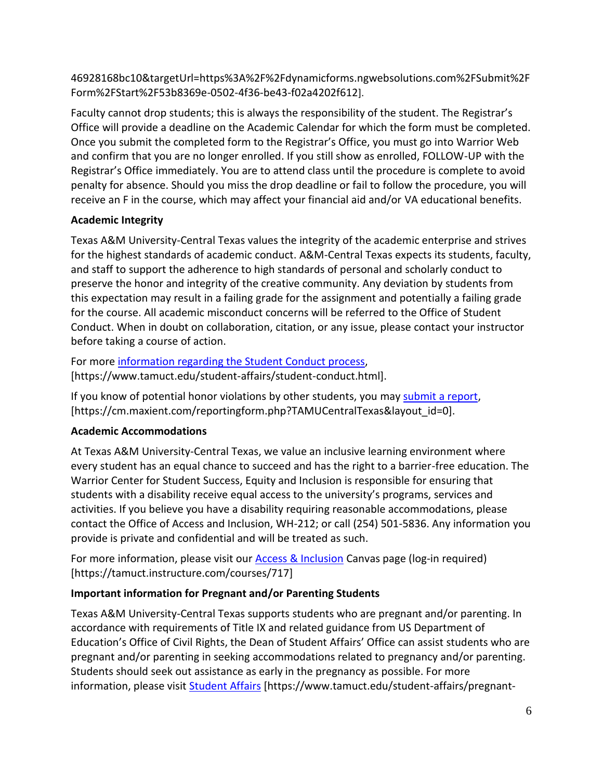46928168bc10&targetUrl=https%3A%2F%2Fdynamicforms.ngwebsolutions.com%2FSubmit%2F Form%2FStart%2F53b8369e-0502-4f36-be43-f02a4202f612].

Faculty cannot drop students; this is always the responsibility of the student. The Registrar's Office will provide a deadline on the Academic Calendar for which the form must be completed. Once you submit the completed form to the Registrar's Office, you must go into Warrior Web and confirm that you are no longer enrolled. If you still show as enrolled, FOLLOW-UP with the Registrar's Office immediately. You are to attend class until the procedure is complete to avoid penalty for absence. Should you miss the drop deadline or fail to follow the procedure, you will receive an F in the course, which may affect your financial aid and/or VA educational benefits.

# **Academic Integrity**

Texas A&M University-Central Texas values the integrity of the academic enterprise and strives for the highest standards of academic conduct. A&M-Central Texas expects its students, faculty, and staff to support the adherence to high standards of personal and scholarly conduct to preserve the honor and integrity of the creative community. Any deviation by students from this expectation may result in a failing grade for the assignment and potentially a failing grade for the course. All academic misconduct concerns will be referred to the Office of Student Conduct. When in doubt on collaboration, citation, or any issue, please contact your instructor before taking a course of action.

For more [information](https://nam04.safelinks.protection.outlook.com/?url=https%3A%2F%2Fwww.tamuct.edu%2Fstudent-affairs%2Fstudent-conduct.html&data=04%7C01%7Clisa.bunkowski%40tamuct.edu%7Ccfb6e486f24745f53e1a08d910055cb2%7C9eed4e3000f744849ff193ad8005acec%7C0%7C0%7C637558437485252160%7CUnknown%7CTWFpbGZsb3d8eyJWIjoiMC4wLjAwMDAiLCJQIjoiV2luMzIiLCJBTiI6Ik1haWwiLCJXVCI6Mn0%3D%7C1000&sdata=yjftDEVHvLX%2FhM%2FcFU0B99krV1RgEWR%2BJ%2BhvtoR6TYk%3D&reserved=0) regarding the Student Conduct process, [https://www.tamuct.edu/student-affairs/student-conduct.html].

If you know of potential honor violations by other students, you may [submit](https://nam04.safelinks.protection.outlook.com/?url=https%3A%2F%2Fcm.maxient.com%2Freportingform.php%3FTAMUCentralTexas%26layout_id%3D0&data=04%7C01%7Clisa.bunkowski%40tamuct.edu%7Ccfb6e486f24745f53e1a08d910055cb2%7C9eed4e3000f744849ff193ad8005acec%7C0%7C0%7C637558437485262157%7CUnknown%7CTWFpbGZsb3d8eyJWIjoiMC4wLjAwMDAiLCJQIjoiV2luMzIiLCJBTiI6Ik1haWwiLCJXVCI6Mn0%3D%7C1000&sdata=CXGkOa6uPDPX1IMZ87z3aZDq2n91xfHKu4MMS43Ejjk%3D&reserved=0) a report, [https://cm.maxient.com/reportingform.php?TAMUCentralTexas&layout\_id=0].

# **Academic Accommodations**

At Texas A&M University-Central Texas, we value an inclusive learning environment where every student has an equal chance to succeed and has the right to a barrier-free education. The Warrior Center for Student Success, Equity and Inclusion is responsible for ensuring that students with a disability receive equal access to the university's programs, services and activities. If you believe you have a disability requiring reasonable accommodations, please contact the Office of Access and Inclusion, WH-212; or call (254) 501-5836. Any information you provide is private and confidential and will be treated as such.

For more information, please visit our [Access & Inclusion](https://tamuct.instructure.com/courses/717) Canvas page (log-in required) [https://tamuct.instructure.com/courses/717]

# **Important information for Pregnant and/or Parenting Students**

Texas A&M University-Central Texas supports students who are pregnant and/or parenting. In accordance with requirements of Title IX and related guidance from US Department of Education's Office of Civil Rights, the Dean of Student Affairs' Office can assist students who are pregnant and/or parenting in seeking accommodations related to pregnancy and/or parenting. Students should seek out assistance as early in the pregnancy as possible. For more information, please visit **Student Affairs** [https://www.tamuct.edu/student-affairs/pregnant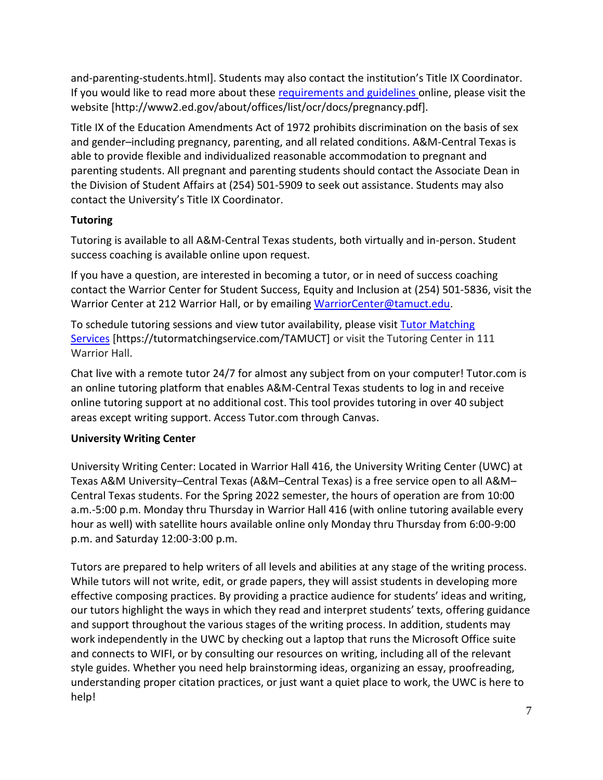and-parenting-students.html]. Students may also contact the institution's Title IX Coordinator. If you would like to read more about these [requirements and guidelines](http://www2.ed.gov/about/offices/list/ocr/docs/pregnancy.pdf) online, please visit the website [http://www2.ed.gov/about/offices/list/ocr/docs/pregnancy.pdf].

Title IX of the Education Amendments Act of 1972 prohibits discrimination on the basis of sex and gender–including pregnancy, parenting, and all related conditions. A&M-Central Texas is able to provide flexible and individualized reasonable accommodation to pregnant and parenting students. All pregnant and parenting students should contact the Associate Dean in the Division of Student Affairs at (254) 501-5909 to seek out assistance. Students may also contact the University's Title IX Coordinator.

# **Tutoring**

Tutoring is available to all A&M-Central Texas students, both virtually and in-person. Student success coaching is available online upon request.

If you have a question, are interested in becoming a tutor, or in need of success coaching contact the Warrior Center for Student Success, Equity and Inclusion at (254) 501-5836, visit the Warrior Center at 212 Warrior Hall, or by emailing [WarriorCenter@tamuct.edu.](mailto:WarriorCenter@tamuct.edu)

To schedule tutoring sessions and view tutor availability, please visit Tutor [Matching](https://tutormatchingservice.com/TAMUCT) [Services](https://tutormatchingservice.com/TAMUCT) [https://tutormatchingservice.com/TAMUCT] or visit the Tutoring Center in 111 Warrior Hall.

Chat live with a remote tutor 24/7 for almost any subject from on your computer! Tutor.com is an online tutoring platform that enables A&M-Central Texas students to log in and receive online tutoring support at no additional cost. This tool provides tutoring in over 40 subject areas except writing support. Access Tutor.com through Canvas.

# **University Writing Center**

University Writing Center: Located in Warrior Hall 416, the University Writing Center (UWC) at Texas A&M University–Central Texas (A&M–Central Texas) is a free service open to all A&M– Central Texas students. For the Spring 2022 semester, the hours of operation are from 10:00 a.m.-5:00 p.m. Monday thru Thursday in Warrior Hall 416 (with online tutoring available every hour as well) with satellite hours available online only Monday thru Thursday from 6:00-9:00 p.m. and Saturday 12:00-3:00 p.m.

Tutors are prepared to help writers of all levels and abilities at any stage of the writing process. While tutors will not write, edit, or grade papers, they will assist students in developing more effective composing practices. By providing a practice audience for students' ideas and writing, our tutors highlight the ways in which they read and interpret students' texts, offering guidance and support throughout the various stages of the writing process. In addition, students may work independently in the UWC by checking out a laptop that runs the Microsoft Office suite and connects to WIFI, or by consulting our resources on writing, including all of the relevant style guides. Whether you need help brainstorming ideas, organizing an essay, proofreading, understanding proper citation practices, or just want a quiet place to work, the UWC is here to help!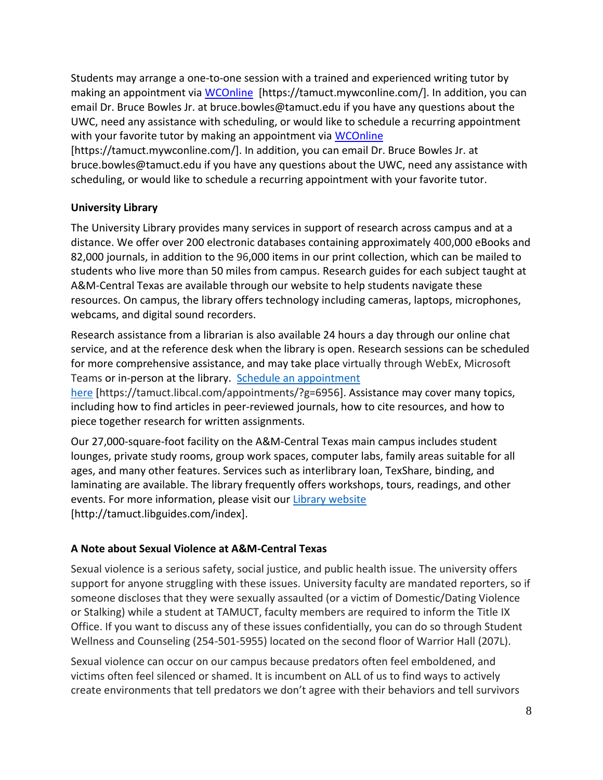Students may arrange a one-to-one session with a trained and experienced writing tutor by making an appointment via [WCOnline](https://tamuct.mywconline.com/) [https://tamuct.mywconline.com/]. In addition, you can email Dr. Bruce Bowles Jr. at bruce.bowles@tamuct.edu if you have any questions about the UWC, need any assistance with scheduling, or would like to schedule a recurring appointment with your favorite tutor by making an appointment via [WCOnline](https://tamuct.mywconline.com/)

[https://tamuct.mywconline.com/]. In addition, you can email Dr. Bruce Bowles Jr. at bruce.bowles@tamuct.edu if you have any questions about the UWC, need any assistance with scheduling, or would like to schedule a recurring appointment with your favorite tutor.

# **University Library**

The University Library provides many services in support of research across campus and at a distance. We offer over 200 electronic databases containing approximately 400,000 eBooks and 82,000 journals, in addition to the 96,000 items in our print collection, which can be mailed to students who live more than 50 miles from campus. Research guides for each subject taught at A&M-Central Texas are available through our website to help students navigate these resources. On campus, the library offers technology including cameras, laptops, microphones, webcams, and digital sound recorders.

Research assistance from a librarian is also available 24 hours a day through our online chat service, and at the reference desk when the library is open. Research sessions can be scheduled for more comprehensive assistance, and may take place virtually through WebEx, Microsoft Teams or in-person at the library. Schedule an [appointment](https://nam04.safelinks.protection.outlook.com/?url=https%3A%2F%2Ftamuct.libcal.com%2Fappointments%2F%3Fg%3D6956&data=04%7C01%7Clisa.bunkowski%40tamuct.edu%7Cde2c07d9f5804f09518008d9ab7ba6ff%7C9eed4e3000f744849ff193ad8005acec%7C0%7C0%7C637729369835011558%7CUnknown%7CTWFpbGZsb3d8eyJWIjoiMC4wLjAwMDAiLCJQIjoiV2luMzIiLCJBTiI6Ik1haWwiLCJXVCI6Mn0%3D%7C3000&sdata=KhtjgRSAw9aq%2FoBsB6wyu8b7PSuGN5EGPypzr3Ty2No%3D&reserved=0)

[here](https://nam04.safelinks.protection.outlook.com/?url=https%3A%2F%2Ftamuct.libcal.com%2Fappointments%2F%3Fg%3D6956&data=04%7C01%7Clisa.bunkowski%40tamuct.edu%7Cde2c07d9f5804f09518008d9ab7ba6ff%7C9eed4e3000f744849ff193ad8005acec%7C0%7C0%7C637729369835011558%7CUnknown%7CTWFpbGZsb3d8eyJWIjoiMC4wLjAwMDAiLCJQIjoiV2luMzIiLCJBTiI6Ik1haWwiLCJXVCI6Mn0%3D%7C3000&sdata=KhtjgRSAw9aq%2FoBsB6wyu8b7PSuGN5EGPypzr3Ty2No%3D&reserved=0) [https://tamuct.libcal.com/appointments/?g=6956]. Assistance may cover many topics, including how to find articles in peer-reviewed journals, how to cite resources, and how to piece together research for written assignments.

Our 27,000-square-foot facility on the A&M-Central Texas main campus includes student lounges, private study rooms, group work spaces, computer labs, family areas suitable for all ages, and many other features. Services such as interlibrary loan, TexShare, binding, and laminating are available. The library frequently offers workshops, tours, readings, and other events. For more information, please visit our Library [website](https://nam04.safelinks.protection.outlook.com/?url=https%3A%2F%2Ftamuct.libguides.com%2Findex&data=04%7C01%7Clisa.bunkowski%40tamuct.edu%7C7d8489e8839a4915335f08d916f067f2%7C9eed4e3000f744849ff193ad8005acec%7C0%7C0%7C637566044056484222%7CUnknown%7CTWFpbGZsb3d8eyJWIjoiMC4wLjAwMDAiLCJQIjoiV2luMzIiLCJBTiI6Ik1haWwiLCJXVCI6Mn0%3D%7C1000&sdata=2R755V6rcIyedGrd4Os5rkgn1PvhHKU3kUV1vBKiHFo%3D&reserved=0) [http://tamuct.libguides.com/index].

# **A Note about Sexual Violence at A&M-Central Texas**

Sexual violence is a serious safety, social justice, and public health issue. The university offers support for anyone struggling with these issues. University faculty are mandated reporters, so if someone discloses that they were sexually assaulted (or a victim of Domestic/Dating Violence or Stalking) while a student at TAMUCT, faculty members are required to inform the Title IX Office. If you want to discuss any of these issues confidentially, you can do so through Student Wellness and Counseling (254-501-5955) located on the second floor of Warrior Hall (207L).

Sexual violence can occur on our campus because predators often feel emboldened, and victims often feel silenced or shamed. It is incumbent on ALL of us to find ways to actively create environments that tell predators we don't agree with their behaviors and tell survivors